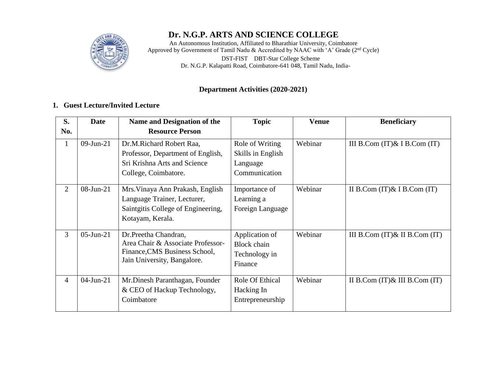## **Dr. N.G.P. ARTS AND SCIENCE COLLEGE**

An Autonomous Institution, Affiliated to Bharathiar University, Coimbatore Approved by Government of Tamil Nadu & Accredited by NAAC with 'A' Grade (2<sup>nd</sup> Cycle) DST**-**FIST DBT**-**Star College Scheme Dr. N.G.P. Kalapatti Road, Coimbatore**-**641 048, Tamil Nadu, India-

#### **Department Activities (2020-2021)**

#### **1. Guest Lecture/Invited Lecture**

| S.             | <b>Date</b>  | Name and Designation of the                                                                                               | <b>Topic</b>                                                      | <b>Venue</b> | <b>Beneficiary</b>                 |
|----------------|--------------|---------------------------------------------------------------------------------------------------------------------------|-------------------------------------------------------------------|--------------|------------------------------------|
| No.            |              | <b>Resource Person</b>                                                                                                    |                                                                   |              |                                    |
| 1              | $09$ -Jun-21 | Dr.M.Richard Robert Raa,<br>Professor, Department of English,<br>Sri Krishna Arts and Science<br>College, Coimbatore.     | Role of Writing<br>Skills in English<br>Language<br>Communication | Webinar      | III B.Com $(T)\&$ I B.Com $(T)$    |
| $\overline{2}$ | $08$ -Jun-21 | Mrs. Vinaya Ann Prakash, English<br>Language Trainer, Lecturer,<br>Saintgitis College of Engineering,<br>Kotayam, Kerala. | Importance of<br>Learning a<br>Foreign Language                   | Webinar      | II B.Com $(IT)$ & I B.Com $(IT)$   |
| $\overline{3}$ | $05$ -Jun-21 | Dr.Preetha Chandran,<br>Area Chair & Associate Professor-<br>Finance, CMS Business School,<br>Jain University, Bangalore. | Application of<br><b>Block</b> chain<br>Technology in<br>Finance  | Webinar      | III B.Com $(IT)$ & II B.Com $(IT)$ |
| $\overline{4}$ | $04$ -Jun-21 | Mr. Dinesh Paranthagan, Founder<br>& CEO of Hackup Technology,<br>Coimbatore                                              | Role Of Ethical<br>Hacking In<br>Entrepreneurship                 | Webinar      | II B.Com $(T)$ & III B.Com $(T)$   |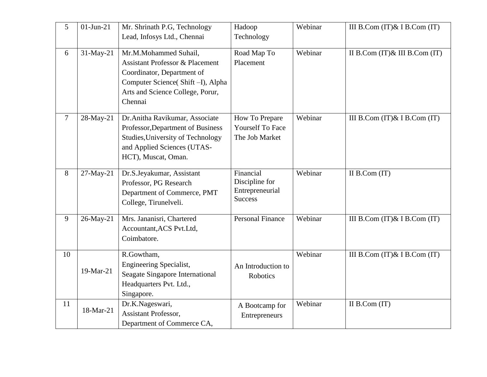| 5      | $01$ -Jun-21 | Mr. Shrinath P.G, Technology<br>Lead, Infosys Ltd., Chennai                                                                                                                          | Hadoop<br>Technology                                             | Webinar | III B.Com $(IT)$ & I B.Com $(IT)$  |
|--------|--------------|--------------------------------------------------------------------------------------------------------------------------------------------------------------------------------------|------------------------------------------------------------------|---------|------------------------------------|
| 6      | 31-May-21    | Mr.M.Mohammed Suhail,<br><b>Assistant Professor &amp; Placement</b><br>Coordinator, Department of<br>Computer Science(Shift-I), Alpha<br>Arts and Science College, Porur,<br>Chennai | Road Map To<br>Placement                                         | Webinar | II B.Com $(IT)$ & III B.Com $(IT)$ |
| $\tau$ | 28-May-21    | Dr.Anitha Ravikumar, Associate<br>Professor, Department of Business<br>Studies, University of Technology<br>and Applied Sciences (UTAS-<br>HCT), Muscat, Oman.                       | How To Prepare<br><b>Yourself To Face</b><br>The Job Market      | Webinar | III B.Com $(IT)$ & I B.Com $(IT)$  |
| 8      | 27-May-21    | Dr.S.Jeyakumar, Assistant<br>Professor, PG Research<br>Department of Commerce, PMT<br>College, Tirunelveli.                                                                          | Financial<br>Discipline for<br>Entrepreneurial<br><b>Success</b> | Webinar | II B.Com $(IT)$                    |
| 9      | 26-May-21    | Mrs. Jananisri, Chartered<br>Accountant, ACS Pvt.Ltd,<br>Coimbatore.                                                                                                                 | <b>Personal Finance</b>                                          | Webinar | III B.Com $(IT)$ & I B.Com $(IT)$  |
| 10     | 19-Mar-21    | R.Gowtham,<br>Engineering Specialist,<br>Seagate Singapore International<br>Headquarters Pvt. Ltd.,<br>Singapore.                                                                    | An Introduction to<br>Robotics                                   | Webinar | III B.Com $(IT)$ & I B.Com $(IT)$  |
| 11     | 18-Mar-21    | Dr.K.Nageswari,<br>Assistant Professor,<br>Department of Commerce CA,                                                                                                                | A Bootcamp for<br>Entrepreneurs                                  | Webinar | II B.Com $(IT)$                    |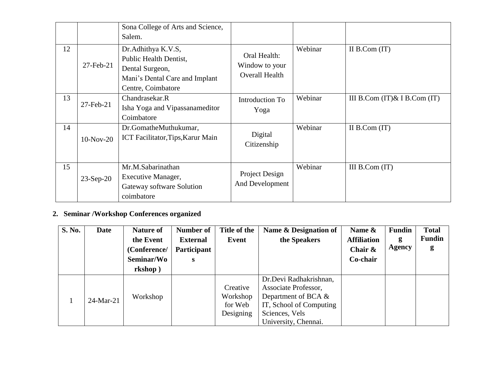|    |                 | Sona College of Arts and Science,<br>Salem.                                                                             |                                                         |         |                                 |
|----|-----------------|-------------------------------------------------------------------------------------------------------------------------|---------------------------------------------------------|---------|---------------------------------|
| 12 | $27$ -Feb- $21$ | Dr.Adhithya K.V.S,<br>Public Health Dentist,<br>Dental Surgeon,<br>Mani's Dental Care and Implant<br>Centre, Coimbatore | Oral Health:<br>Window to your<br><b>Overall Health</b> | Webinar | II B.Com $(IT)$                 |
| 13 | 27-Feb-21       | Chandrasekar.R<br>Isha Yoga and Vipassanameditor<br>Coimbatore                                                          | Introduction To<br>Yoga                                 | Webinar | III B.Com $(T)\&$ I B.Com $(T)$ |
| 14 | $10-Nov-20$     | Dr.GomatheMuthukumar,<br>ICT Facilitator, Tips, Karur Main                                                              | Digital<br>Citizenship                                  | Webinar | II B.Com $(IT)$                 |
| 15 | $23-Sep-20$     | Mr.M.Sabarinathan<br>Executive Manager,<br>Gateway software Solution<br>coimbatore                                      | Project Design<br>And Development                       | Webinar | III $B$ .Com $(IT)$             |

# **2. Seminar /Workshop Conferences organized**

| S. No. | <b>Date</b>  | <b>Nature of</b> | Number of       | Title of the | Name & Designation of   | Name &             | <b>Fundin</b> | <b>Total</b>  |
|--------|--------------|------------------|-----------------|--------------|-------------------------|--------------------|---------------|---------------|
|        |              | the Event        | <b>External</b> | Event        | the Speakers            | <b>Affiliation</b> | g             | <b>Fundin</b> |
|        |              | (Conference/     | Participant     |              |                         | Chair $\&$         | <b>Agency</b> | g             |
|        |              | Seminar/Wo       | S               |              |                         | Co-chair           |               |               |
|        |              | rkshop)          |                 |              |                         |                    |               |               |
|        |              |                  |                 |              | Dr.Devi Radhakrishnan,  |                    |               |               |
|        |              |                  |                 | Creative     | Associate Professor,    |                    |               |               |
|        | $24$ -Mar-21 | Workshop         |                 | Workshop     | Department of BCA $\&$  |                    |               |               |
|        |              |                  |                 | for Web      | IT, School of Computing |                    |               |               |
|        |              |                  |                 | Designing    | Sciences, Vels          |                    |               |               |
|        |              |                  |                 |              | University, Chennai.    |                    |               |               |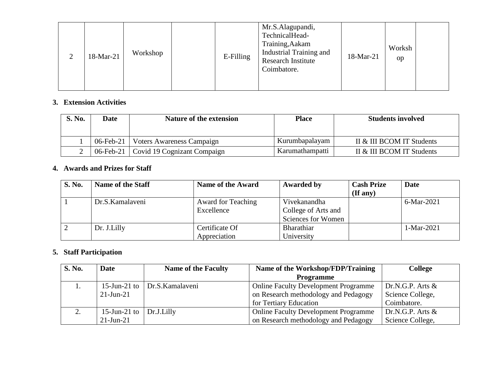| ∠ | 18-Mar-21 | Workshop |  | E-Filling | Mr.S.Alagupandi,<br>TechnicalHead-<br>Training, Aakam<br><b>Industrial Training and</b><br><b>Research Institute</b><br>Coimbatore. | 18-Mar-21 | Worksh<br>op |  |
|---|-----------|----------|--|-----------|-------------------------------------------------------------------------------------------------------------------------------------|-----------|--------------|--|
|---|-----------|----------|--|-----------|-------------------------------------------------------------------------------------------------------------------------------------|-----------|--------------|--|

#### **3. Extension Activities**

| <b>S. No.</b> | Date              | Nature of the extension                 | <b>Place</b>    | <b>Students involved</b>  |
|---------------|-------------------|-----------------------------------------|-----------------|---------------------------|
|               | 06-Feb-21 $\vert$ | Voters Awareness Campaign               | Kurumbapalayam  | II & III BCOM IT Students |
|               |                   | 06-Feb-21   Covid 19 Cognizant Compaign | Karumathampatti | II & III BCOM IT Students |

## **4. Awards and Prizes for Staff**

| <b>S. No.</b> | <b>Name of the Staff</b> | <b>Name of the Award</b>  | Awarded by          | <b>Cash Prize</b><br>$($ If any $)$ | Date         |
|---------------|--------------------------|---------------------------|---------------------|-------------------------------------|--------------|
|               | Dr.S.Kamalaveni          | <b>Award for Teaching</b> | Vivekanandha        |                                     | 6-Mar-2021   |
|               |                          | Excellence                | College of Arts and |                                     |              |
|               |                          |                           | Sciences for Women  |                                     |              |
|               | Dr. J.Lilly              | Certificate Of            | Bharathiar          |                                     | $1-Mar-2021$ |
|               |                          | Appreciation              | University          |                                     |              |

### **5. Staff Participation**

| S. No.    | <b>Date</b>     | <b>Name of the Faculty</b> | Name of the Workshop/FDP/Training           | <b>College</b>      |
|-----------|-----------------|----------------------------|---------------------------------------------|---------------------|
|           |                 |                            | <b>Programme</b>                            |                     |
|           | $15$ -Jun-21 to | Dr.S.Kamalaveni            | <b>Online Faculty Development Programme</b> | Dr.N.G.P. Arts $\&$ |
|           | $21$ -Jun-21    |                            | on Research methodology and Pedagogy        | Science College,    |
|           |                 |                            | for Tertiary Education                      | Coimbatore.         |
| <u>L.</u> | $15$ -Jun-21 to | Dr.J.Lilly                 | <b>Online Faculty Development Programme</b> | Dr.N.G.P. Arts $\&$ |
|           | $21$ -Jun- $21$ |                            | on Research methodology and Pedagogy        | Science College,    |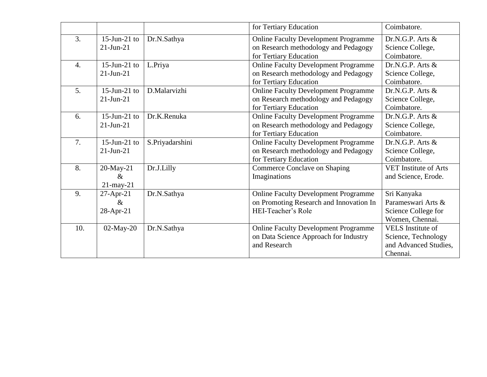|                  |                                      |                 | for Tertiary Education                                                                                        | Coimbatore.                                                                          |
|------------------|--------------------------------------|-----------------|---------------------------------------------------------------------------------------------------------------|--------------------------------------------------------------------------------------|
| 3.               | $15$ -Jun-21 to<br>$21$ -Jun- $21$   | Dr.N.Sathya     | <b>Online Faculty Development Programme</b><br>on Research methodology and Pedagogy<br>for Tertiary Education | Dr.N.G.P. Arts &<br>Science College,<br>Coimbatore.                                  |
| $\overline{4}$ . | 15-Jun-21 to<br>$21-Jun-21$          | L.Priya         | <b>Online Faculty Development Programme</b><br>on Research methodology and Pedagogy<br>for Tertiary Education | Dr.N.G.P. Arts &<br>Science College,<br>Coimbatore.                                  |
| 5.               | $15$ -Jun-21 to<br>$21-Jun-21$       | D.Malarvizhi    | <b>Online Faculty Development Programme</b><br>on Research methodology and Pedagogy<br>for Tertiary Education | Dr.N.G.P. Arts $&$<br>Science College,<br>Coimbatore.                                |
| 6.               | $15$ -Jun-21 to<br>$21-Jun-21$       | Dr.K.Renuka     | <b>Online Faculty Development Programme</b><br>on Research methodology and Pedagogy<br>for Tertiary Education | Dr.N.G.P. Arts &<br>Science College,<br>Coimbatore.                                  |
| 7.               | $15$ -Jun-21 to<br>$21$ -Jun- $21$   | S.Priyadarshini | <b>Online Faculty Development Programme</b><br>on Research methodology and Pedagogy<br>for Tertiary Education | Dr.N.G.P. Arts $&$<br>Science College,<br>Coimbatore.                                |
| 8.               | 20-May-21<br>$\&$<br>$21$ -may- $21$ | Dr.J.Lilly      | <b>Commerce Conclave on Shaping</b><br>Imaginations                                                           | <b>VET</b> Institute of Arts<br>and Science, Erode.                                  |
| 9.               | $27 - Apr - 21$<br>$\&$<br>28-Apr-21 | Dr.N.Sathya     | <b>Online Faculty Development Programme</b><br>on Promoting Research and Innovation In<br>HEI-Teacher's Role  | Sri Kanyaka<br>Parameswari Arts &<br>Science College for<br>Women, Chennai.          |
| 10.              | $02$ -May-20                         | Dr.N.Sathya     | <b>Online Faculty Development Programme</b><br>on Data Science Approach for Industry<br>and Research          | <b>VELS</b> Institute of<br>Science, Technology<br>and Advanced Studies,<br>Chennai. |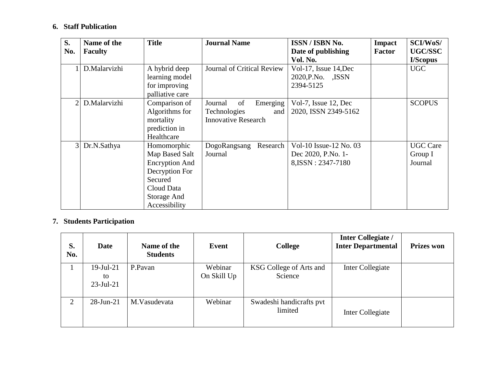## **6. Staff Publication**

| S.             | Name of the    | <b>Title</b>          | <b>Journal Name</b>        | ISSN / ISBN No.        | <b>Impact</b> | SCI/WoS/        |
|----------------|----------------|-----------------------|----------------------------|------------------------|---------------|-----------------|
| No.            | <b>Faculty</b> |                       |                            | Date of publishing     | <b>Factor</b> | <b>UGC/SSC</b>  |
|                |                |                       |                            | Vol. No.               |               | I/Scopus        |
|                | D.Malarvizhi   | A hybrid deep         | Journal of Critical Review | Vol-17, Issue 14, Dec  |               | <b>UGC</b>      |
|                |                | learning model        |                            | 2020, P.No.<br>,ISSN   |               |                 |
|                |                | for improving         |                            | 2394-5125              |               |                 |
|                |                | palliative care       |                            |                        |               |                 |
| $\overline{2}$ | D.Malarvizhi   | Comparison of         | Emerging<br>of<br>Journal  | Vol-7, Issue 12, Dec   |               | <b>SCOPUS</b>   |
|                |                | Algorithms for        | Technologies<br>and        | 2020, ISSN 2349-5162   |               |                 |
|                |                | mortality             | <b>Innovative Research</b> |                        |               |                 |
|                |                | prediction in         |                            |                        |               |                 |
|                |                | Healthcare            |                            |                        |               |                 |
| $\overline{3}$ | Dr.N.Sathya    | Homomorphic           | Research<br>DogoRangsang   | Vol-10 Issue-12 No. 03 |               | <b>UGC</b> Care |
|                |                | Map Based Salt        | Journal                    | Dec 2020, P.No. 1-     |               | Group I         |
|                |                | <b>Encryption And</b> |                            | 8, ISSN: 2347-7180     |               | Journal         |
|                |                | Decryption For        |                            |                        |               |                 |
|                |                | Secured               |                            |                        |               |                 |
|                |                | Cloud Data            |                            |                        |               |                 |
|                |                | Storage And           |                            |                        |               |                 |
|                |                | Accessibility         |                            |                        |               |                 |

# **7. Students Participation**

| S.<br>No. | <b>Date</b>                        | Name of the<br><b>Students</b> | Event                  | <b>College</b>                      | <b>Inter Collegiate /</b><br><b>Inter Departmental</b> | <b>Prizes won</b> |
|-----------|------------------------------------|--------------------------------|------------------------|-------------------------------------|--------------------------------------------------------|-------------------|
|           | $19$ -Jul-21<br>to<br>$23$ -Jul-21 | P.Pavan                        | Webinar<br>On Skill Up | KSG College of Arts and<br>Science  | Inter Collegiate                                       |                   |
| 2         | $28$ -Jun-21                       | M.Vasudevata                   | Webinar                | Swadeshi handicrafts pvt<br>limited | Inter Collegiate                                       |                   |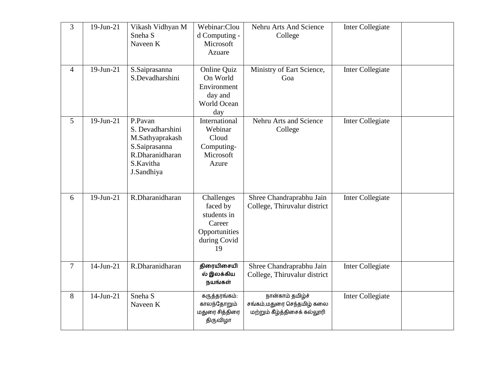| 3      | $19$ -Jun-21 | Vikash Vidhyan M<br>Sneha <sub>S</sub><br>Naveen K                                                            | Webinar:Clou<br>d Computing -<br>Microsoft<br>Azuare                                   | Nehru Arts And Science<br>College                                              | Inter Collegiate |
|--------|--------------|---------------------------------------------------------------------------------------------------------------|----------------------------------------------------------------------------------------|--------------------------------------------------------------------------------|------------------|
| 4      | $19$ -Jun-21 | S.Saiprasanna<br>S.Devadharshini                                                                              | Online Quiz<br>On World<br>Environment<br>day and<br><b>World Ocean</b><br>day         | Ministry of Eart Science,<br>Goa                                               | Inter Collegiate |
| 5      | $19$ -Jun-21 | P.Pavan<br>S. Devadharshini<br>M.Sathyaprakash<br>S.Saiprasanna<br>R.Dharanidharan<br>S.Kavitha<br>J.Sandhiya | International<br>Webinar<br>Cloud<br>Computing-<br>Microsoft<br>Azure                  | Nehru Arts and Science<br>College                                              | Inter Collegiate |
| 6      | $19$ -Jun-21 | R.Dharanidharan                                                                                               | Challenges<br>faced by<br>students in<br>Career<br>Opportunities<br>during Covid<br>19 | Shree Chandraprabhu Jain<br>College, Thiruvalur district                       | Inter Collegiate |
| $\tau$ | $14$ -Jun-21 | R.Dharanidharan                                                                                               | திரையிசையி<br>ல் இலக்கிய<br>நயங்கள்                                                    | Shree Chandraprabhu Jain<br>College, Thiruvalur district                       | Inter Collegiate |
| 8      | $14$ -Jun-21 | Sneha <sub>S</sub><br>Naveen K                                                                                | கருத்தரங்கம்:<br>காலந்தோறும்<br>மதுரை சித்திரை<br>திருவிழா                             | நான்காம் தமிழ்ச்<br>சங்கம்,மதுரை செந்தமிழ் கலை<br>மற்றும் கீழ்த்திசைக் கல்லூரி | Inter Collegiate |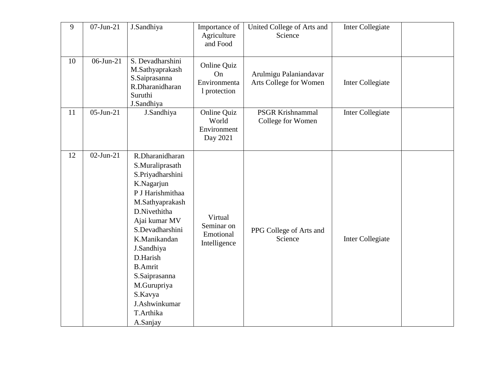| 9  | $07$ -Jun-21 | J.Sandhiya                                                                                                                                                                                                                                                                                                       | Importance of<br>Agriculture<br>and Food               | United College of Arts and<br>Science            | Inter Collegiate        |  |
|----|--------------|------------------------------------------------------------------------------------------------------------------------------------------------------------------------------------------------------------------------------------------------------------------------------------------------------------------|--------------------------------------------------------|--------------------------------------------------|-------------------------|--|
| 10 | $06$ -Jun-21 | S. Devadharshini<br>M.Sathyaprakash<br>S.Saiprasanna<br>R.Dharanidharan<br>Suruthi<br>J.Sandhiya                                                                                                                                                                                                                 | Online Quiz<br>On<br>Environmenta<br>1 protection      | Arulmigu Palaniandavar<br>Arts College for Women | Inter Collegiate        |  |
| 11 | $05$ -Jun-21 | J.Sandhiya                                                                                                                                                                                                                                                                                                       | <b>Online Quiz</b><br>World<br>Environment<br>Day 2021 | <b>PSGR Krishnammal</b><br>College for Women     | <b>Inter Collegiate</b> |  |
| 12 | $02$ -Jun-21 | R.Dharanidharan<br>S.Muraliprasath<br>S.Priyadharshini<br>K.Nagarjun<br>P J Harishmithaa<br>M.Sathyaprakash<br>D.Nivethitha<br>Ajai kumar MV<br>S.Devadharshini<br>K.Manikandan<br>J.Sandhiya<br>D.Harish<br><b>B.Amrit</b><br>S.Saiprasanna<br>M.Gurupriya<br>S.Kavya<br>J.Ashwinkumar<br>T.Arthika<br>A.Sanjay | Virtual<br>Seminar on<br>Emotional<br>Intelligence     | PPG College of Arts and<br>Science               | Inter Collegiate        |  |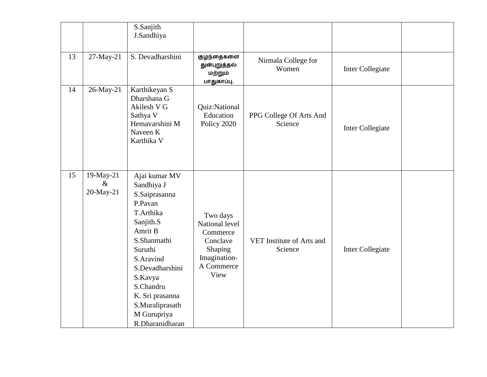|    |                                | S.Sanjith<br>J.Sandhiya                                                                                                                                                                                                                                |                                                                                                     |                                      |                         |  |
|----|--------------------------------|--------------------------------------------------------------------------------------------------------------------------------------------------------------------------------------------------------------------------------------------------------|-----------------------------------------------------------------------------------------------------|--------------------------------------|-------------------------|--|
| 13 | 27-May-21                      | S. Devadharshini                                                                                                                                                                                                                                       | குழந்தைகளை<br>துன்புறுத்தல்<br>மற்றும்<br>பாதுகாப்பு.                                               | Nirmala College for<br>Women         | Inter Collegiate        |  |
| 14 | 26-May-21                      | Karthikeyan S<br>Dharshana G<br>Akilesh V G<br>Sathya V<br>Hemavarshini M<br>Naveen K<br>Karthika V                                                                                                                                                    | Quiz:National<br>Education<br>Policy 2020                                                           | PPG College Of Arts And<br>Science   | Inter Collegiate        |  |
| 15 | 19-May-21<br>$\&$<br>20-May-21 | Ajai kumar MV<br>Sandhiya J<br>S.Saiprasanna<br>P.Pavan<br>T.Arthika<br>Sanjith.S<br>Amrit B<br>S.Shanmathi<br>Suruthi<br>S.Aravind<br>S.Devadharshini<br>S.Kavya<br>S.Chandru<br>K. Sri prasanna<br>S.Muraliprasath<br>M Gurupriya<br>R.Dharanidharan | Two days<br>National level<br>Commerce<br>Conclave<br>Shaping<br>Imagination-<br>A Commerce<br>View | VET Institute of Arts and<br>Science | <b>Inter Collegiate</b> |  |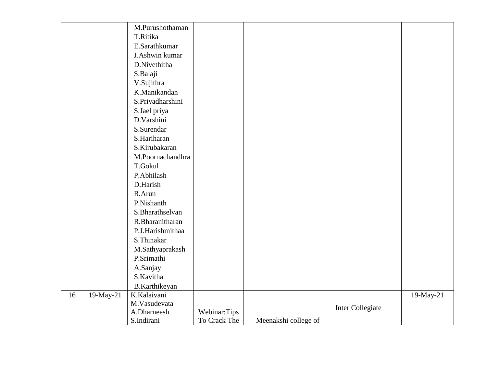|    |           | M.Purushothaman  |              |                      |                  |           |
|----|-----------|------------------|--------------|----------------------|------------------|-----------|
|    |           | T.Ritika         |              |                      |                  |           |
|    |           | E.Sarathkumar    |              |                      |                  |           |
|    |           | J.Ashwin kumar   |              |                      |                  |           |
|    |           | D.Nivethitha     |              |                      |                  |           |
|    |           | S.Balaji         |              |                      |                  |           |
|    |           | V.Sujithra       |              |                      |                  |           |
|    |           | K.Manikandan     |              |                      |                  |           |
|    |           | S.Priyadharshini |              |                      |                  |           |
|    |           | S.Jael priya     |              |                      |                  |           |
|    |           | D.Varshini       |              |                      |                  |           |
|    |           | S.Surendar       |              |                      |                  |           |
|    |           | S.Hariharan      |              |                      |                  |           |
|    |           | S.Kirubakaran    |              |                      |                  |           |
|    |           | M.Poornachandhra |              |                      |                  |           |
|    |           | <b>T.Gokul</b>   |              |                      |                  |           |
|    |           | P.Abhilash       |              |                      |                  |           |
|    |           | D.Harish         |              |                      |                  |           |
|    |           | R.Arun           |              |                      |                  |           |
|    |           | P.Nishanth       |              |                      |                  |           |
|    |           | S.Bharathselvan  |              |                      |                  |           |
|    |           | R.Bharanitharan  |              |                      |                  |           |
|    |           | P.J.Harishmithaa |              |                      |                  |           |
|    |           | S.Thinakar       |              |                      |                  |           |
|    |           | M.Sathyaprakash  |              |                      |                  |           |
|    |           | P.Srimathi       |              |                      |                  |           |
|    |           | A.Sanjay         |              |                      |                  |           |
|    |           | S.Kavitha        |              |                      |                  |           |
|    |           | B.Karthikeyan    |              |                      |                  |           |
| 16 | 19-May-21 | K.Kalaivani      |              |                      |                  | 19-May-21 |
|    |           | M.Vasudevata     |              |                      | Inter Collegiate |           |
|    |           | A.Dharneesh      | Webinar:Tips |                      |                  |           |
|    |           | S.Indirani       | To Crack The | Meenakshi college of |                  |           |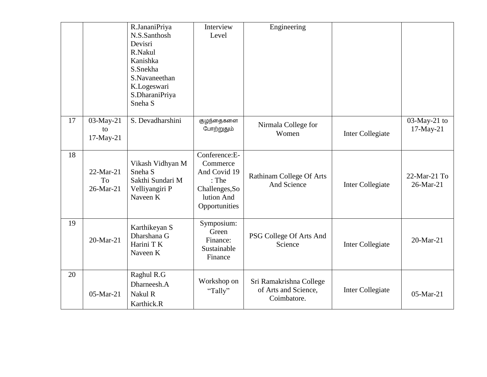|    |                                | R.JananiPriya<br>N.S.Santhosh<br>Devisri<br>R.Nakul<br>Kanishka<br>S.Snekha<br>S.Navaneethan<br>K.Logeswari<br>S.DharaniPriya<br>Sneha <sub>S</sub> | Interview<br>Level                                                                                  | Engineering                                                    |                  |                              |
|----|--------------------------------|-----------------------------------------------------------------------------------------------------------------------------------------------------|-----------------------------------------------------------------------------------------------------|----------------------------------------------------------------|------------------|------------------------------|
| 17 | 03-May-21<br>to<br>17-May-21   | S. Devadharshini                                                                                                                                    | குழந்தைகளை<br>போற்றுதும்                                                                            | Nirmala College for<br>Women                                   | Inter Collegiate | 03-May-21 to<br>17-May-21    |
| 18 | $22-Mar-21$<br>To<br>26-Mar-21 | Vikash Vidhyan M<br>Sneha <sub>S</sub><br>Sakthi Sundari M<br>Velliyangiri P<br>Naveen K                                                            | Conference:E-<br>Commerce<br>And Covid 19<br>: The<br>Challenges, So<br>lution And<br>Opportunities | <b>Rathinam College Of Arts</b><br>And Science                 | Inter Collegiate | $22$ -Mar-21 To<br>26-Mar-21 |
| 19 | 20-Mar-21                      | Karthikeyan S<br>Dharshana G<br>Harini T K<br>Naveen K                                                                                              | Symposium:<br>Green<br>Finance:<br>Sustainable<br>Finance                                           | PSG College Of Arts And<br>Science                             | Inter Collegiate | 20-Mar-21                    |
| 20 | 05-Mar-21                      | Raghul R.G<br>Dharneesh.A<br>Nakul R<br>Karthick.R                                                                                                  | Workshop on<br>"Tally"                                                                              | Sri Ramakrishna College<br>of Arts and Science,<br>Coimbatore. | Inter Collegiate | 05-Mar-21                    |